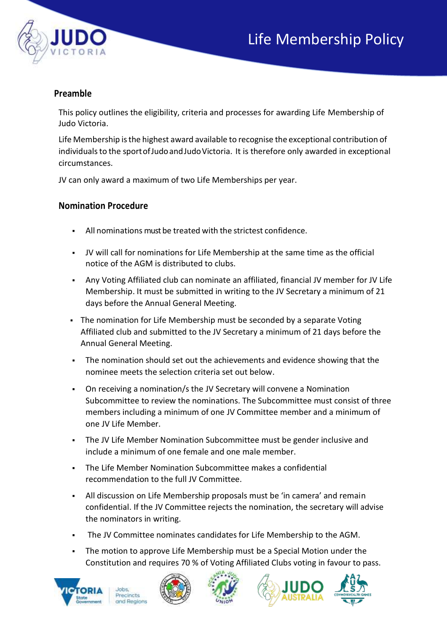

## **Preamble**

This policy outlines the eligibility, criteria and processes for awarding Life Membership of Judo Victoria.

Life Membership isthe highest award available to recognise the exceptional contribution of individuals to the sport of Judo and Judo Victoria. It is therefore only awarded in exceptional circumstances.

JV can only award a maximum of two Life Memberships per year.

## **Nomination Procedure**

- All nominations must be treated with the strictest confidence.
- JV will call for nominations for Life Membership at the same time as the official notice of the AGM is distributed to clubs.
- Any Voting Affiliated club can nominate an affiliated, financial JV member for JV Life Membership. It must be submitted in writing to the JV Secretary a minimum of 21 days before the Annual General Meeting.
- The nomination for Life Membership must be seconded by a separate Voting Affiliated club and submitted to the JV Secretary a minimum of 21 days before the Annual General Meeting.
- The nomination should set out the achievements and evidence showing that the nominee meets the selection criteria set out below.
- On receiving a nomination/s the JV Secretary will convene a Nomination Subcommittee to review the nominations. The Subcommittee must consist of three members including a minimum of one JV Committee member and a minimum of one JV Life Member.
- The JV Life Member Nomination Subcommittee must be gender inclusive and include a minimum of one female and one male member.
- The Life Member Nomination Subcommittee makes a confidential recommendation to the full JV Committee.
- All discussion on Life Membership proposals must be 'in camera' and remain confidential. If the JV Committee rejects the nomination, the secretary will advise the nominators in writing.
- The JV Committee nominates candidates for Life Membership to the AGM.
- The motion to approve Life Membership must be a Special Motion under the Constitution and requires 70 % of Voting Affiliated Clubs voting in favour to pass.